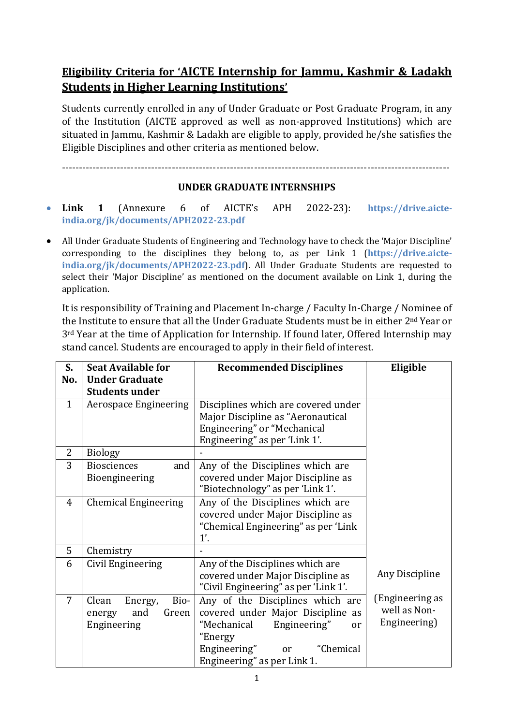## **Eligibility Criteria for 'AICTE Internship for Jammu, Kashmir & Ladakh Students in Higher Learning Institutions'**

Students currently enrolled in any of Under Graduate or Post Graduate Program, in any of the Institution (AICTE approved as well as non-approved Institutions) which are situated in Jammu, Kashmir & Ladakh are eligible to apply, provided he/she satisfies the Eligible Disciplines and other criteria as mentioned below.

-----------------------------------------------------------------------------------------------------------------

## **UNDER GRADUATE INTERNSHIPS**

- **Link 1** (Annexure 6 of AICTE's APH 2022-23): **https://drive.aicteindia.org/jk/documents/APH2022-23.pdf**
- All Under Graduate Students of Engineering and Technology have to check the 'Major Discipline' corresponding to the disciplines they belong to, as per Link 1 (**https://drive.aicteindia.org/jk/documents/APH2022-23.pdf**). All Under Graduate Students are requested to select their 'Major Discipline' as mentioned on the document available on Link 1, during the application.

It is responsibility of Training and Placement In-charge / Faculty In-Charge / Nominee of the Institute to ensure that all the Under Graduate Students must be in either 2nd Year or 3<sup>rd</sup> Year at the time of Application for Internship. If found later, Offered Internship may stand cancel. Students are encouraged to apply in their field of interest.

| S.           | <b>Seat Available for</b>                                         | <b>Recommended Disciplines</b>                                                                                                                                                       | Eligible                                        |
|--------------|-------------------------------------------------------------------|--------------------------------------------------------------------------------------------------------------------------------------------------------------------------------------|-------------------------------------------------|
| No.          | <b>Under Graduate</b><br><b>Students under</b>                    |                                                                                                                                                                                      |                                                 |
| $\mathbf{1}$ | <b>Aerospace Engineering</b>                                      | Disciplines which are covered under<br>Major Discipline as "Aeronautical<br>Engineering" or "Mechanical<br>Engineering" as per 'Link 1'.                                             |                                                 |
| 2            | <b>Biology</b>                                                    |                                                                                                                                                                                      |                                                 |
| 3            | <b>Biosciences</b><br>and<br>Bioengineering                       | Any of the Disciplines which are<br>covered under Major Discipline as<br>"Biotechnology" as per 'Link 1'.                                                                            |                                                 |
| 4            | <b>Chemical Engineering</b>                                       | Any of the Disciplines which are<br>covered under Major Discipline as<br>"Chemical Engineering" as per 'Link<br>1'.                                                                  |                                                 |
| 5            | Chemistry                                                         |                                                                                                                                                                                      |                                                 |
| 6            | Civil Engineering                                                 | Any of the Disciplines which are<br>covered under Major Discipline as<br>"Civil Engineering" as per 'Link 1'.                                                                        | Any Discipline                                  |
| 7            | Bio-<br>Clean<br>Energy,<br>and<br>Green<br>energy<br>Engineering | Any of the Disciplines which are<br>covered under Major Discipline as<br>"Mechanical<br>Engineering"<br>or<br>"Energy<br>"Chemical<br>Engineering" or<br>Engineering" as per Link 1. | (Engineering as<br>well as Non-<br>Engineering) |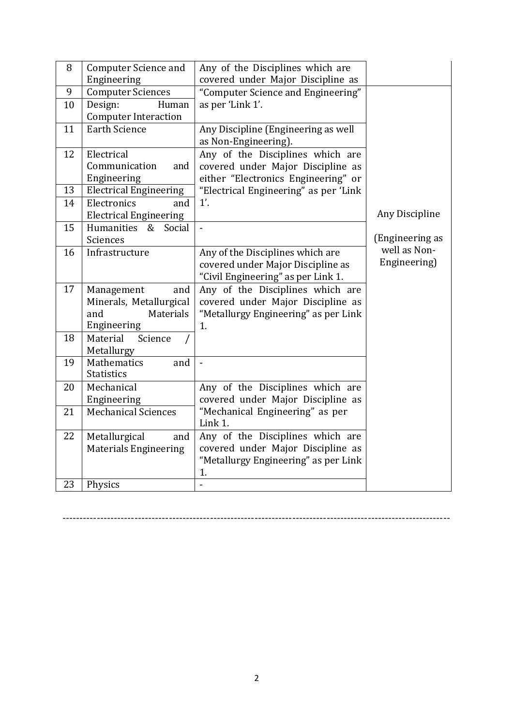| 8      | <b>Computer Science and</b><br>Engineering                                      | Any of the Disciplines which are<br>covered under Major Discipline as                                               |                              |
|--------|---------------------------------------------------------------------------------|---------------------------------------------------------------------------------------------------------------------|------------------------------|
| 9      | <b>Computer Sciences</b>                                                        | "Computer Science and Engineering"                                                                                  |                              |
| 10     | Design:<br>Human<br><b>Computer Interaction</b>                                 | as per 'Link 1'.                                                                                                    |                              |
| 11     | <b>Earth Science</b>                                                            | Any Discipline (Engineering as well<br>as Non-Engineering).                                                         |                              |
| 12     | Electrical<br>Communication<br>and<br>Engineering                               | Any of the Disciplines which are<br>covered under Major Discipline as<br>either "Electronics Engineering" or        |                              |
| 13     | <b>Electrical Engineering</b>                                                   | "Electrical Engineering" as per 'Link                                                                               |                              |
| 14     | Electronics<br>and<br><b>Electrical Engineering</b>                             | 1'.                                                                                                                 | Any Discipline               |
| 15     | Humanities<br>Social<br>&<br>Sciences                                           |                                                                                                                     | (Engineering as              |
| 16     | Infrastructure                                                                  | Any of the Disciplines which are<br>covered under Major Discipline as<br>"Civil Engineering" as per Link 1.         | well as Non-<br>Engineering) |
| 17     | Management<br>and<br>Minerals, Metallurgical<br>Materials<br>and<br>Engineering | Any of the Disciplines which are<br>covered under Major Discipline as<br>"Metallurgy Engineering" as per Link<br>1. |                              |
| 18     | Material<br>Science<br>Metallurgy                                               |                                                                                                                     |                              |
| 19     | Mathematics<br>and<br><b>Statistics</b>                                         | $\overline{a}$                                                                                                      |                              |
| $20\,$ | Mechanical<br>Engineering                                                       | Any of the Disciplines which are<br>covered under Major Discipline as                                               |                              |
| 21     | <b>Mechanical Sciences</b>                                                      | "Mechanical Engineering" as per<br>Link 1.                                                                          |                              |
| 22     | Metallurgical<br>and<br><b>Materials Engineering</b>                            | Any of the Disciplines which are<br>covered under Major Discipline as<br>"Metallurgy Engineering" as per Link<br>1. |                              |
| 23     | Physics                                                                         |                                                                                                                     |                              |

-----------------------------------------------------------------------------------------------------------------